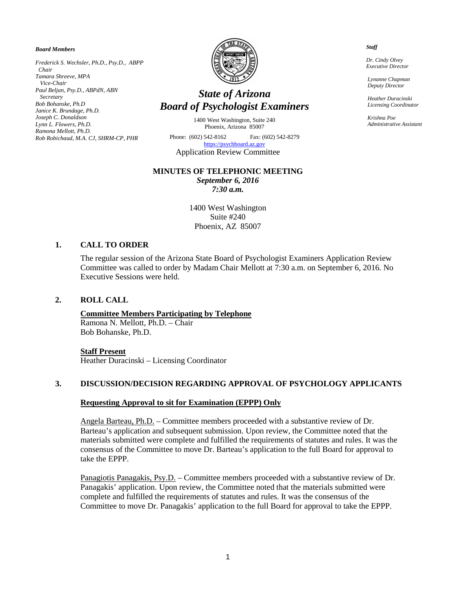#### *Board Members*

*Frederick S. Wechsler, Ph.D., Psy.D., ABPP Chair Tamara Shreeve, MPA Vice-Chair Paul Beljan, Psy.D., ABPdN, ABN Secretary Bob Bohanske, Ph.D Janice K. Brundage, Ph.D. Joseph C. Donaldson Lynn L. Flowers, Ph.D. Ramona Mellott, Ph.D. Rob Robichaud, M.A. CJ, SHRM-CP, PHR*



# *State of Arizona Board of Psychologist Examiners*

1400 West Washington, Suite 240 Phoenix, Arizona 85007

Phone: (602) 542-8162 Fax: (602) 542-8279 [https://psychboard.az.gov](https://psychboard.az.gov/)  Application Review Committee

### **MINUTES OF TELEPHONIC MEETING**

*September 6, 2016 7:30 a.m.*

1400 West Washington Suite #240 Phoenix, AZ 85007

### **1. CALL TO ORDER**

The regular session of the Arizona State Board of Psychologist Examiners Application Review Committee was called to order by Madam Chair Mellott at 7:30 a.m. on September 6, 2016. No Executive Sessions were held.

### **2. ROLL CALL**

### **Committee Members Participating by Telephone** Ramona N. Mellott, Ph.D. – Chair

Bob Bohanske, Ph.D.

### **Staff Present**

Heather Duracinski – Licensing Coordinator

### **3. DISCUSSION/DECISION REGARDING APPROVAL OF PSYCHOLOGY APPLICANTS**

### **Requesting Approval to sit for Examination (EPPP) Only**

Angela Barteau, Ph.D. – Committee members proceeded with a substantive review of Dr. Barteau's application and subsequent submission. Upon review, the Committee noted that the materials submitted were complete and fulfilled the requirements of statutes and rules. It was the consensus of the Committee to move Dr. Barteau's application to the full Board for approval to take the EPPP.

Panagiotis Panagakis, Psy.D. – Committee members proceeded with a substantive review of Dr. Panagakis' application. Upon review, the Committee noted that the materials submitted were complete and fulfilled the requirements of statutes and rules. It was the consensus of the Committee to move Dr. Panagakis' application to the full Board for approval to take the EPPP.

#### *Staff*

 *Dr. Cindy Olvey Executive Director*

 *Lynanne Chapman Deputy Director*

 *Heather Duracinski Licensing Coordinator*

 *Krishna Poe Administrative Assistant*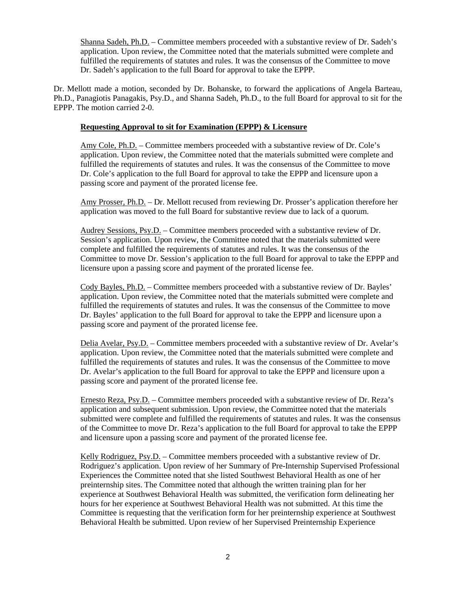Shanna Sadeh, Ph.D. – Committee members proceeded with a substantive review of Dr. Sadeh's application. Upon review, the Committee noted that the materials submitted were complete and fulfilled the requirements of statutes and rules. It was the consensus of the Committee to move Dr. Sadeh's application to the full Board for approval to take the EPPP.

Dr. Mellott made a motion, seconded by Dr. Bohanske, to forward the applications of Angela Barteau, Ph.D., Panagiotis Panagakis, Psy.D., and Shanna Sadeh, Ph.D., to the full Board for approval to sit for the EPPP. The motion carried 2-0.

# **Requesting Approval to sit for Examination (EPPP) & Licensure**

Amy Cole, Ph.D. – Committee members proceeded with a substantive review of Dr. Cole's application. Upon review, the Committee noted that the materials submitted were complete and fulfilled the requirements of statutes and rules. It was the consensus of the Committee to move Dr. Cole's application to the full Board for approval to take the EPPP and licensure upon a passing score and payment of the prorated license fee.

Amy Prosser, Ph.D. – Dr. Mellott recused from reviewing Dr. Prosser's application therefore her application was moved to the full Board for substantive review due to lack of a quorum.

Audrey Sessions, Psy.D. – Committee members proceeded with a substantive review of Dr. Session's application. Upon review, the Committee noted that the materials submitted were complete and fulfilled the requirements of statutes and rules. It was the consensus of the Committee to move Dr. Session's application to the full Board for approval to take the EPPP and licensure upon a passing score and payment of the prorated license fee.

Cody Bayles, Ph.D. – Committee members proceeded with a substantive review of Dr. Bayles' application. Upon review, the Committee noted that the materials submitted were complete and fulfilled the requirements of statutes and rules. It was the consensus of the Committee to move Dr. Bayles' application to the full Board for approval to take the EPPP and licensure upon a passing score and payment of the prorated license fee.

Delia Avelar, Psy.D. – Committee members proceeded with a substantive review of Dr. Avelar's application. Upon review, the Committee noted that the materials submitted were complete and fulfilled the requirements of statutes and rules. It was the consensus of the Committee to move Dr. Avelar's application to the full Board for approval to take the EPPP and licensure upon a passing score and payment of the prorated license fee.

Ernesto Reza, Psy.D. – Committee members proceeded with a substantive review of Dr. Reza's application and subsequent submission. Upon review, the Committee noted that the materials submitted were complete and fulfilled the requirements of statutes and rules. It was the consensus of the Committee to move Dr. Reza's application to the full Board for approval to take the EPPP and licensure upon a passing score and payment of the prorated license fee.

Kelly Rodriguez, Psy.D. – Committee members proceeded with a substantive review of Dr. Rodriguez's application. Upon review of her Summary of Pre-Internship Supervised Professional Experiences the Committee noted that she listed Southwest Behavioral Health as one of her preinternship sites. The Committee noted that although the written training plan for her experience at Southwest Behavioral Health was submitted, the verification form delineating her hours for her experience at Southwest Behavioral Health was not submitted. At this time the Committee is requesting that the verification form for her preinternship experience at Southwest Behavioral Health be submitted. Upon review of her Supervised Preinternship Experience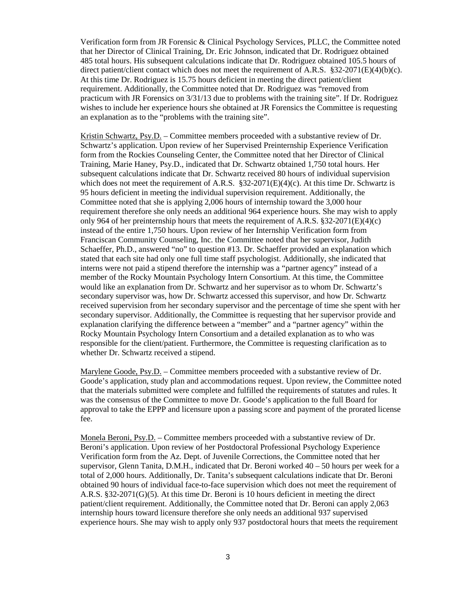Verification form from JR Forensic & Clinical Psychology Services, PLLC, the Committee noted that her Director of Clinical Training, Dr. Eric Johnson, indicated that Dr. Rodriguez obtained 485 total hours. His subsequent calculations indicate that Dr. Rodriguez obtained 105.5 hours of direct patient/client contact which does not meet the requirement of A.R.S. §32-2071(E)(4)(b)(c). At this time Dr. Rodriguez is 15.75 hours deficient in meeting the direct patient/client requirement. Additionally, the Committee noted that Dr. Rodriguez was "removed from practicum with JR Forensics on 3/31/13 due to problems with the training site". If Dr. Rodriguez wishes to include her experience hours she obtained at JR Forensics the Committee is requesting an explanation as to the "problems with the training site".

Kristin Schwartz, Psy.D. – Committee members proceeded with a substantive review of Dr. Schwartz's application. Upon review of her Supervised Preinternship Experience Verification form from the Rockies Counseling Center, the Committee noted that her Director of Clinical Training, Marie Haney, Psy.D., indicated that Dr. Schwartz obtained 1,750 total hours. Her subsequent calculations indicate that Dr. Schwartz received 80 hours of individual supervision which does not meet the requirement of A.R.S.  $\S 32-2071(E)(4)(c)$ . At this time Dr. Schwartz is 95 hours deficient in meeting the individual supervision requirement. Additionally, the Committee noted that she is applying 2,006 hours of internship toward the 3,000 hour requirement therefore she only needs an additional 964 experience hours. She may wish to apply only 964 of her preinternship hours that meets the requirement of A.R.S. §32-2071(E)(4)(c) instead of the entire 1,750 hours. Upon review of her Internship Verification form from Franciscan Community Counseling, Inc. the Committee noted that her supervisor, Judith Schaeffer, Ph.D., answered "no" to question #13. Dr. Schaeffer provided an explanation which stated that each site had only one full time staff psychologist. Additionally, she indicated that interns were not paid a stipend therefore the internship was a "partner agency" instead of a member of the Rocky Mountain Psychology Intern Consortium. At this time, the Committee would like an explanation from Dr. Schwartz and her supervisor as to whom Dr. Schwartz's secondary supervisor was, how Dr. Schwartz accessed this supervisor, and how Dr. Schwartz received supervision from her secondary supervisor and the percentage of time she spent with her secondary supervisor. Additionally, the Committee is requesting that her supervisor provide and explanation clarifying the difference between a "member" and a "partner agency" within the Rocky Mountain Psychology Intern Consortium and a detailed explanation as to who was responsible for the client/patient. Furthermore, the Committee is requesting clarification as to whether Dr. Schwartz received a stipend.

Marylene Goode, Psy.D. – Committee members proceeded with a substantive review of Dr. Goode's application, study plan and accommodations request. Upon review, the Committee noted that the materials submitted were complete and fulfilled the requirements of statutes and rules. It was the consensus of the Committee to move Dr. Goode's application to the full Board for approval to take the EPPP and licensure upon a passing score and payment of the prorated license fee.

Monela Beroni, Psy.D. – Committee members proceeded with a substantive review of Dr. Beroni's application. Upon review of her Postdoctoral Professional Psychology Experience Verification form from the Az. Dept. of Juvenile Corrections, the Committee noted that her supervisor, Glenn Tanita, D.M.H., indicated that Dr. Beroni worked 40 – 50 hours per week for a total of 2,000 hours. Additionally, Dr. Tanita's subsequent calculations indicate that Dr. Beroni obtained 90 hours of individual face-to-face supervision which does not meet the requirement of A.R.S. §32-2071(G)(5). At this time Dr. Beroni is 10 hours deficient in meeting the direct patient/client requirement. Additionally, the Committee noted that Dr. Beroni can apply 2,063 internship hours toward licensure therefore she only needs an additional 937 supervised experience hours. She may wish to apply only 937 postdoctoral hours that meets the requirement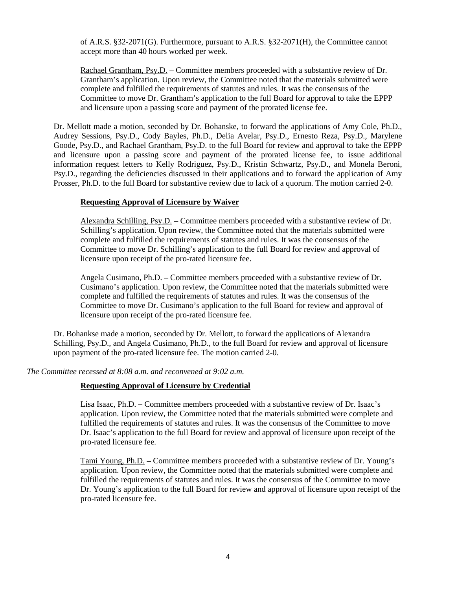of A.R.S. §32-2071(G). Furthermore, pursuant to A.R.S. §32-2071(H), the Committee cannot accept more than 40 hours worked per week.

Rachael Grantham, Psy.D. – Committee members proceeded with a substantive review of Dr. Grantham's application. Upon review, the Committee noted that the materials submitted were complete and fulfilled the requirements of statutes and rules. It was the consensus of the Committee to move Dr. Grantham's application to the full Board for approval to take the EPPP and licensure upon a passing score and payment of the prorated license fee.

Dr. Mellott made a motion, seconded by Dr. Bohanske, to forward the applications of Amy Cole, Ph.D., Audrey Sessions, Psy.D., Cody Bayles, Ph.D., Delia Avelar, Psy.D., Ernesto Reza, Psy.D., Marylene Goode, Psy.D., and Rachael Grantham, Psy.D. to the full Board for review and approval to take the EPPP and licensure upon a passing score and payment of the prorated license fee, to issue additional information request letters to Kelly Rodriguez, Psy.D., Kristin Schwartz, Psy.D., and Monela Beroni, Psy.D., regarding the deficiencies discussed in their applications and to forward the application of Amy Prosser, Ph.D. to the full Board for substantive review due to lack of a quorum. The motion carried 2-0.

# **Requesting Approval of Licensure by Waiver**

Alexandra Schilling, Psy.D. **–** Committee members proceeded with a substantive review of Dr. Schilling's application. Upon review, the Committee noted that the materials submitted were complete and fulfilled the requirements of statutes and rules. It was the consensus of the Committee to move Dr. Schilling's application to the full Board for review and approval of licensure upon receipt of the pro-rated licensure fee.

Angela Cusimano, Ph.D. **–** Committee members proceeded with a substantive review of Dr. Cusimano's application. Upon review, the Committee noted that the materials submitted were complete and fulfilled the requirements of statutes and rules. It was the consensus of the Committee to move Dr. Cusimano's application to the full Board for review and approval of licensure upon receipt of the pro-rated licensure fee.

Dr. Bohankse made a motion, seconded by Dr. Mellott, to forward the applications of Alexandra Schilling, Psy.D., and Angela Cusimano, Ph.D., to the full Board for review and approval of licensure upon payment of the pro-rated licensure fee. The motion carried 2-0.

*The Committee recessed at 8:08 a.m. and reconvened at 9:02 a.m.*

# **Requesting Approval of Licensure by Credential**

Lisa Isaac, Ph.D. **–** Committee members proceeded with a substantive review of Dr. Isaac's application. Upon review, the Committee noted that the materials submitted were complete and fulfilled the requirements of statutes and rules. It was the consensus of the Committee to move Dr. Isaac's application to the full Board for review and approval of licensure upon receipt of the pro-rated licensure fee.

Tami Young, Ph.D. **–** Committee members proceeded with a substantive review of Dr. Young's application. Upon review, the Committee noted that the materials submitted were complete and fulfilled the requirements of statutes and rules. It was the consensus of the Committee to move Dr. Young's application to the full Board for review and approval of licensure upon receipt of the pro-rated licensure fee.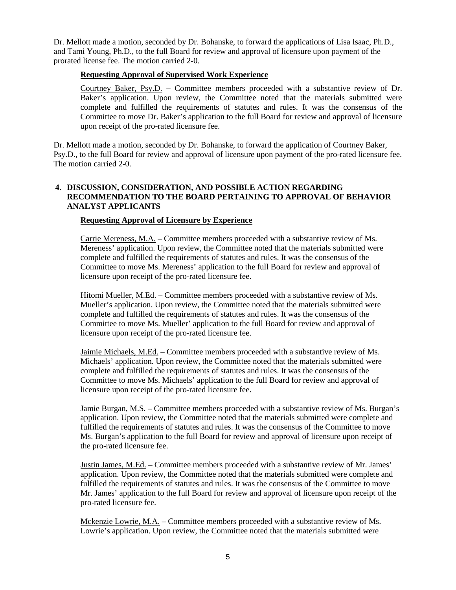Dr. Mellott made a motion, seconded by Dr. Bohanske, to forward the applications of Lisa Isaac, Ph.D., and Tami Young, Ph.D., to the full Board for review and approval of licensure upon payment of the prorated license fee. The motion carried 2-0.

### **Requesting Approval of Supervised Work Experience**

Courtney Baker, Psy.D. **–** Committee members proceeded with a substantive review of Dr. Baker's application. Upon review, the Committee noted that the materials submitted were complete and fulfilled the requirements of statutes and rules. It was the consensus of the Committee to move Dr. Baker's application to the full Board for review and approval of licensure upon receipt of the pro-rated licensure fee.

Dr. Mellott made a motion, seconded by Dr. Bohanske, to forward the application of Courtney Baker, Psy.D., to the full Board for review and approval of licensure upon payment of the pro-rated licensure fee. The motion carried 2-0.

# **4. DISCUSSION, CONSIDERATION, AND POSSIBLE ACTION REGARDING RECOMMENDATION TO THE BOARD PERTAINING TO APPROVAL OF BEHAVIOR ANALYST APPLICANTS**

### **Requesting Approval of Licensure by Experience**

Carrie Mereness, M.A. – Committee members proceeded with a substantive review of Ms. Mereness' application. Upon review, the Committee noted that the materials submitted were complete and fulfilled the requirements of statutes and rules. It was the consensus of the Committee to move Ms. Mereness' application to the full Board for review and approval of licensure upon receipt of the pro-rated licensure fee.

Hitomi Mueller, M.Ed. – Committee members proceeded with a substantive review of Ms. Mueller's application. Upon review, the Committee noted that the materials submitted were complete and fulfilled the requirements of statutes and rules. It was the consensus of the Committee to move Ms. Mueller' application to the full Board for review and approval of licensure upon receipt of the pro-rated licensure fee.

Jaimie Michaels, M.Ed. – Committee members proceeded with a substantive review of Ms. Michaels' application. Upon review, the Committee noted that the materials submitted were complete and fulfilled the requirements of statutes and rules. It was the consensus of the Committee to move Ms. Michaels' application to the full Board for review and approval of licensure upon receipt of the pro-rated licensure fee.

Jamie Burgan, M.S. – Committee members proceeded with a substantive review of Ms. Burgan's application. Upon review, the Committee noted that the materials submitted were complete and fulfilled the requirements of statutes and rules. It was the consensus of the Committee to move Ms. Burgan's application to the full Board for review and approval of licensure upon receipt of the pro-rated licensure fee.

Justin James, M.Ed. – Committee members proceeded with a substantive review of Mr. James' application. Upon review, the Committee noted that the materials submitted were complete and fulfilled the requirements of statutes and rules. It was the consensus of the Committee to move Mr. James' application to the full Board for review and approval of licensure upon receipt of the pro-rated licensure fee.

Mckenzie Lowrie, M.A. – Committee members proceeded with a substantive review of Ms. Lowrie's application. Upon review, the Committee noted that the materials submitted were